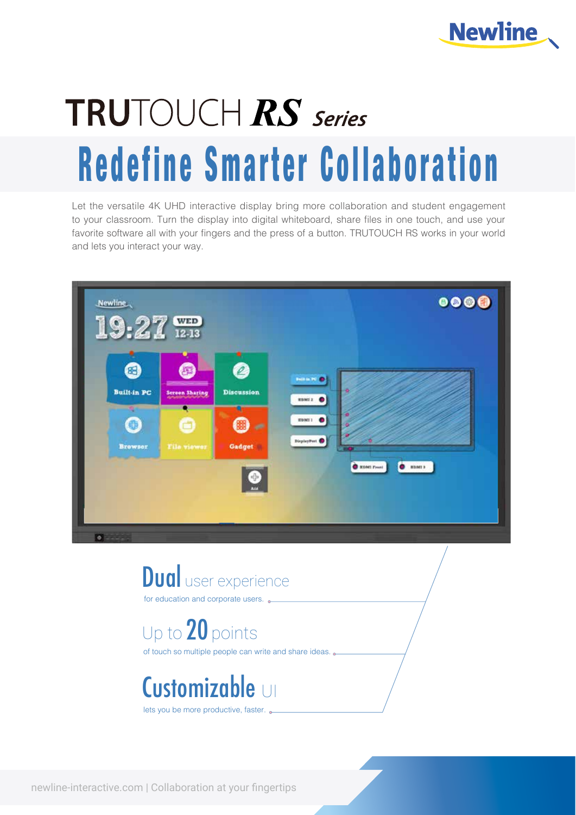

## **TRUTOUCH RS** Series Redefine Smarter Collaboration

Let the versatile 4K UHD interactive display bring more collaboration and student engagement to your classroom. Turn the display into digital whiteboard, share files in one touch, and use your favorite software all with your fingers and the press of a button. TRUTOUCH RS works in your world and lets you interact your way.

| Newline<br>$19.27$ WED  |                                                          |                                    |                                       |                     | $\bullet\bullet\bullet\bullet$ |
|-------------------------|----------------------------------------------------------|------------------------------------|---------------------------------------|---------------------|--------------------------------|
| O<br><b>Built-in PC</b> | and the property of the control<br><b>Screen Sharing</b> | $\mathcal{L}$<br><b>Discussion</b> | <b>Builde by O</b><br><b>измі</b> 2 © |                     |                                |
| <b>Browser</b>          | ٨<br>File viewer                                         | ×<br>Gadget                        | <b>EDMIT OF</b><br>DisplayPort        | <b>C</b> XDMI Front | <b>C</b> HOMES                 |
|                         |                                                          | m                                  |                                       |                     |                                |
| $\bullet$               | m.                                                       |                                    |                                       |                     |                                |

## for education and corporate users. Dual user experience

of touch so multiple people can write and share ideas. Up to  $20$  points

## Customizable UI

lets you be more productive, faster.